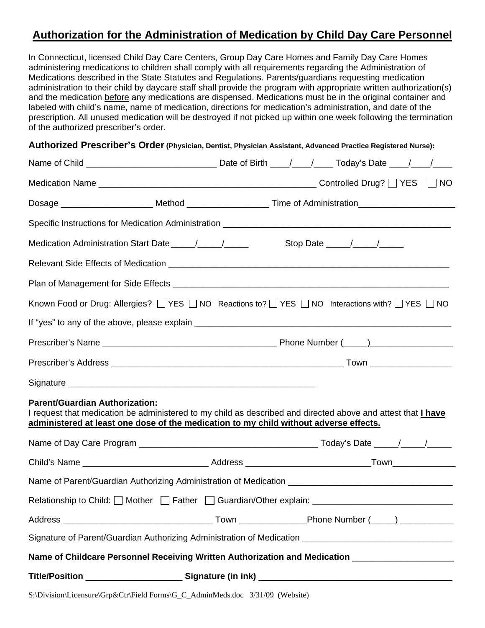## **Authorization for the Administration of Medication by Child Day Care Personnel**

In Connecticut, licensed Child Day Care Centers, Group Day Care Homes and Family Day Care Homes administering medications to children shall comply with all requirements regarding the Administration of Medications described in the State Statutes and Regulations. Parents/guardians requesting medication administration to their child by daycare staff shall provide the program with appropriate written authorization(s) and the medication before any medications are dispensed. Medications must be in the original container and labeled with child's name, name of medication, directions for medication's administration, and date of the prescription. All unused medication will be destroyed if not picked up within one week following the termination of the authorized prescriber's order.

## **Authorized Prescriber's Order (Physician, Dentist, Physician Assistant, Advanced Practice Registered Nurse):**

| Known Food or Drug: Allergies? [ YES   NO Reactions to? [ YES   NO Interactions with? [ YES   NO                                                                                                                                               |  |  |  |  |  |  |  |
|------------------------------------------------------------------------------------------------------------------------------------------------------------------------------------------------------------------------------------------------|--|--|--|--|--|--|--|
|                                                                                                                                                                                                                                                |  |  |  |  |  |  |  |
|                                                                                                                                                                                                                                                |  |  |  |  |  |  |  |
|                                                                                                                                                                                                                                                |  |  |  |  |  |  |  |
|                                                                                                                                                                                                                                                |  |  |  |  |  |  |  |
| <b>Parent/Guardian Authorization:</b><br>I request that medication be administered to my child as described and directed above and attest that I have<br>administered at least one dose of the medication to my child without adverse effects. |  |  |  |  |  |  |  |
|                                                                                                                                                                                                                                                |  |  |  |  |  |  |  |
|                                                                                                                                                                                                                                                |  |  |  |  |  |  |  |
| Name of Parent/Guardian Authorizing Administration of Medication ___________________________________                                                                                                                                           |  |  |  |  |  |  |  |
| Relationship to Child: Mother Father Guardian/Other explain: ____________________                                                                                                                                                              |  |  |  |  |  |  |  |
|                                                                                                                                                                                                                                                |  |  |  |  |  |  |  |
| Signature of Parent/Guardian Authorizing Administration of Medication ______________________________                                                                                                                                           |  |  |  |  |  |  |  |
| Name of Childcare Personnel Receiving Written Authorization and Medication _______________________                                                                                                                                             |  |  |  |  |  |  |  |
|                                                                                                                                                                                                                                                |  |  |  |  |  |  |  |

S:\Division\Licensure\Grp&Ctr\Field Forms\G\_C\_AdminMeds.doc 3/31/09 (Website)